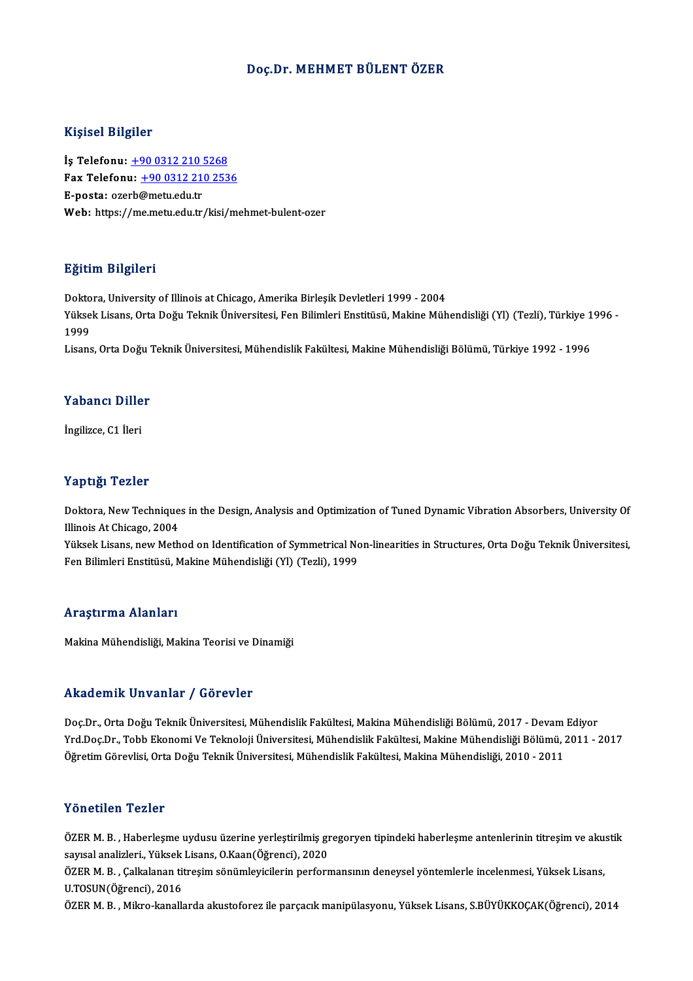### Doç.Dr.MEHMET BÜLENTÖZER

#### Kişisel Bilgiler

Kişisel Bilgiler<br>İş Telefonu: <u>+90 0312 210 5268</u><br>Fax Telefonu: 190 0312 210 252 Fax Telefonu:  $\pm 9003122102536$ <br>E-posta: ozerb@metu.edu.tr İş Telefonu: <u>+90 0312 210 !</u><br>Fax Telefonu: <u>+90 0312 21</u><br>E-posta: oze[rb@metu.edu.tr](tel:+90 0312 210 5268)<br>Web: bttps://me.metu.edu.tr Web: https://[me.metu.edu.tr/kisi/m](tel:+90 0312 210 2536)ehmet-bulent-ozer

### Eğitim Bilgileri

<mark>Eğitim Bilgileri</mark><br>Doktora, University of Illinois at Chicago, Amerika Birleşik Devletleri 1999 - 2004<br><sup>Vültsek Lisans, Orta Değu Telmik Üniversitesi, Ean Bilimleri Enstitüsü, Makine Müh</sup> Zyterin Drigrich I<br>Doktora, University of Illinois at Chicago, Amerika Birleşik Devletleri 1999 - 2004<br>Yüksek Lisans, Orta Doğu Teknik Üniversitesi, Fen Bilimleri Enstitüsü, Makine Mühendisliği (Yl) (Tezli), Türkiye 1996 -Dokto<br>Yükse<br>1999<br>Lisare Yüksek Lisans, Orta Doğu Teknik Üniversitesi, Fen Bilimleri Enstitüsü, Makine Mühendisliği (Yl) (Tezli), Türkiye 1<br>1999<br>Lisans, Orta Doğu Teknik Üniversitesi, Mühendislik Fakültesi, Makine Mühendisliği Bölümü, Türkiye 1992

Lisans, Orta Doğu Teknik Üniversitesi, Mühendislik Fakültesi, Makine Mühendisliği Bölümü, Türkiye 1992 - 1996<br>Yabancı Diller

İngilizce, C1 İleri

#### Yaptığı Tezler

**Yaptığı Tezler**<br>Doktora, New Techniques in the Design, Analysis and Optimization of Tuned Dynamic Vibration Absorbers, University Of<br>Illineis At Chicage, 2004 Illinois At Chicago, 2004 Doktora, New Techniques in the Design, Analysis and Optimization of Tuned Dynamic Vibration Absorbers, University Of<br>Illinois At Chicago, 2004<br>Yüksek Lisans, new Method on Identification of Symmetrical Non-linearities in S

Yüksek Lisans, new Method on Identification of Symmetrical Non-linearities in Structures, Orta Doğu Teknik Üniversitesi,<br>Fen Bilimleri Enstitüsü, Makine Mühendisliği (Yl) (Tezli), 1999

#### Araştırma Alanları

Makina Mühendisliği, Makina Teorisi ve Dinamiği

#### Akademik Unvanlar / Görevler

Doç.Dr., Orta Doğu Teknik Üniversitesi, Mühendislik Fakültesi, Makina Mühendisliği Bölümü, 2017 - Devam Ediyor Yrd.Doç.Dr.,TobbEkonomiVeTeknolojiÜniversitesi,MühendislikFakültesi,MakineMühendisliğiBölümü,2011 -2017 Öğretim Görevlisi, Orta Doğu Teknik Üniversitesi, Mühendislik Fakültesi, Makina Mühendisliği, 2010 - 2011

#### Yönetilen Tezler

Yönetilen Tezler<br>ÖZER M. B. , Haberleşme uydusu üzerine yerleştirilmiş gregoryen tipindeki haberleşme antenlerinin titreşim ve akustik<br>Seyreal analizleri, Yülkek Lisans O*Vean(Öğ*rengi), 2020 s oncencir rezior<br>ÖZER M. B. , Haberleşme uydusu üzerine yerleştirilmiş gı<br>sayısal analizleri., Yüksek Lisans, O.Kaan(Öğrenci), 2020<br>ÖZEP M. B. . Callinlanan titresim sönümleyisilerin perferr ÖZER M. B. , Haberleşme uydusu üzerine yerleştirilmiş gregoryen tipindeki haberleşme antenlerinin titreşim ve aku<br>sayısal analizleri., Yüksek Lisans, O.Kaan(Öğrenci), 2020<br>ÖZER M. B. , Çalkalanan titreşim sönümleyicilerin

sayısal analizleri., Yüksek<br>ÖZER M. B. , Çalkalanan tit<br>U.TOSUN(Öğrenci), 2016<br>ÖZEP M. B. Milwe kanallı ÖZER M. B. , Çalkalanan titreşim sönümleyicilerin performansının deneysel yöntemlerle incelenmesi, Yüksek Lisans,<br>U.TOSUN(Öğrenci), 2016<br>ÖZER M. B. , Mikro-kanallarda akustoforez ile parçacık manipülasyonu, Yüksek Lisans,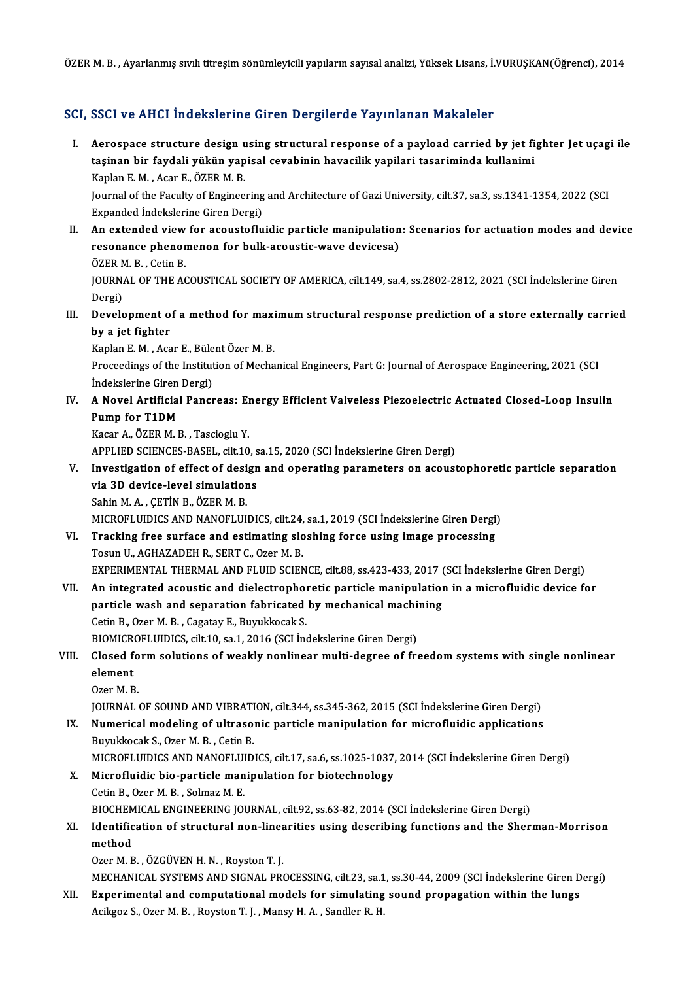ÖZERM.B. ,Ayarlanmış sıvılı titreşimsönümleyiciliyapılarınsayısalanalizi,YüksekLisans, İ.VURUŞKAN(Öğrenci),2014

### SCI, SSCI ve AHCI İndekslerine Giren Dergilerde Yayınlanan Makaleler

- I. SSCI ve AHCI İndekslerine Giren Dergilerde Yayınlanan Makaleler<br>I. Aerospace structure design using structural response of a payload carried by jet fighter Jet uçagi ile<br>tasinan bir favdali vülsün vanisal savabinin baya tasta ve finaf indendrefine diren bergherde ruj intundir frundrefin<br>Aerospace structure design using structural response of a payload carried by jet fi<br>taşinan bir faydali yükün yapisal cevabinin havacilik yapilari tasarim Aerospace structure design u<br>taşinan bir faydali yükün yap<br>Kaplan E. M. , Acar E., ÖZER M. B.<br>Journal of the Faculty of Enginee taşinan bir faydali yükün yapisal cevabinin havacilik yapilari tasariminda kullanimi<br>Kaplan E. M. , Acar E., ÖZER M. B.<br>Journal of the Faculty of Engineering and Architecture of Gazi University, cilt.37, sa.3, ss.1341-1354 Kaplan E. M. , Acar E., ÖZER M. B.<br>Journal of the Faculty of Engineering<br>Expanded Indekslerine Giren Dergi)<br>An extended view for assustafly Expanded İndekslerine Giren Dergi)<br>II. An extended view for acoustofluidic particle manipulation: Scenarios for actuation modes and device Expanded İndekslerine Giren Dergi)<br>An extended view for acoustofluidic particle manipulation<br>resonance phenomenon for bulk-acoustic-wave devicesa)<br>ÖZEP M P - Cetin P
- An extended view<br>resonance phenor<br>ÖZER M. B. , Cetin B.<br>JOUPMAL OF THE AC JOURNAL OF THE ACOUSTICAL SOCIETY OF AMERICA, cilt.149, sa.4, ss.2802-2812, 2021 (SCI İndekslerine Giren<br>Dergi) ÖZER M. B., Cetin B. JOURNAL OF THE ACOUSTICAL SOCIETY OF AMERICA, cilt.149, sa.4, ss.2802-2812, 2021 (SCI İndekslerine Giren<br>Dergi)<br>III. Development of a method for maximum structural response prediction of a store externally carried<br>by a jot
- Dergi)<br>Development o<br>by a jet fighter<br>Kanlan E.M. Acc Development of a method for maxi<br>by a jet fighter<br>Kaplan E. M. , Acar E., Bülent Özer M. B.<br>Preseedings of the Institution of Mesho

Kaplan E. M., Acar E., Bülent Özer M. B.

by a jet fighter<br>Kaplan E. M. , Acar E., Bülent Özer M. B.<br>Proceedings of the Institution of Mechanical Engineers, Part G: Journal of Aerospace Engineering, 2021 (SCI<br>İndekslerine Giren Dergi) Proceedings of the Institution of Mechanical Engineers, Part G: Journal of Aerospace Engineering, 2021 (SCI<br>IV. A Novel Artificial Pancreas: Energy Efficient Valveless Piezoelectric Actuated Closed-Loop Insulin<br>Pump for T1

## Indekslerine Giren<br>A Novel Artificial<br>Pump for T1DM<br>Kasar A ÖZEP M L A Novel Artificial Pancreas: El<br>Pump for T1DM<br>Kacar A., ÖZER M. B., Tascioglu Y.<br>APPLIED SCIENCES PASEL silt 10 Pump for T1DM<br>Kacar A., ÖZER M. B. , Tascioglu Y.<br>APPLIED SCIENCES-BASEL, cilt.10, sa.15, 2020 (SCI İndekslerine Giren Dergi)<br>Investigation of offest of design and onegating navameters on asovst

Kacar A., ÖZER M. B., Tascioglu Y.<br>APPLIED SCIENCES-BASEL, cilt.10, sa.15, 2020 (SCI Indekslerine Giren Dergi)<br>V. Investigation of effect of design and operating parameters on acoustophoretic particle separation<br>via 3D dev APPLIED SCIENCES-BASEL, cilt.10, s<br>Investigation of effect of design<br>via 3D device-level simulations<br>Sebin M A CETIN P ÖZER M P Sahin M.A., ÇETİN B., ÖZER M.B.

MICROFLUIDICSANDNANOFLUIDICS, cilt.24, sa.1,2019 (SCI İndekslerineGirenDergi)

Sahin M. A., ÇETİN B., ÖZER M. B.<br>MICROFLUIDICS AND NANOFLUIDICS, cilt.24, sa.1, 2019 (SCI İndekslerine Giren Dergi)<br>VI. Tracking free surface and estimating sloshing force using image processing<br>Teaup U. ACHAZADEH B. SERT MICROFLUIDICS AND NANOFLUIDICS, cilt.24,<br>Tracking free surface and estimating slo<br>Tosun U., AGHAZADEH R., SERT C., Ozer M. B.<br>EXPERIMENTAL THERMAL AND ELUID SCIEN Tracking free surface and estimating sloshing force using image processing<br>Tosun U., AGHAZADEH R., SERT C., Ozer M. B.<br>EXPERIMENTAL THERMAL AND FLUID SCIENCE, cilt.88, ss.423-433, 2017 (SCI İndekslerine Giren Dergi)<br>An int Tosun U., AGHAZADEH R., SERT C., Ozer M. B.<br>EXPERIMENTAL THERMAL AND FLUID SCIENCE, cilt.88, ss.423-433, 2017 (SCI İndekslerine Giren Dergi)<br>VII. An integrated acoustic and dielectrophoretic particle manipulation in a micr

## EXPERIMENTAL THERMAL AND FLUID SCIENCE, cilt.88, ss.423-433, 2017 (<br>An integrated acoustic and dielectrophoretic particle manipulation<br>particle wash and separation fabricated by mechanical machining An integrated acoustic and dielectrophor<br>particle wash and separation fabricated<br>Cetin B., Ozer M. B., Cagatay E., Buyukkocak S.<br>PIOMICROELUIDICS silt 10, sa 1, 2016 (SCL In particle wash and separation fabricated by mechanical machi<br>Cetin B., Ozer M. B., Cagatay E., Buyukkocak S.<br>BIOMICROFLUIDICS, cilt.10, sa.1, 2016 (SCI İndekslerine Giren Dergi)<br>Clased farm salutians of weakly naplinear mul Cetin B., Ozer M. B. , Cagatay E., Buyukkocak S.<br>BIOMICROFLUIDICS, cilt.10, sa.1, 2016 (SCI İndekslerine Giren Dergi)<br>VIII. Closed form solutions of weakly nonlinear multi-degree of freedom systems with single nonlinea

## BIOMICR<br>Closed f<br>element<br>Ozor M-B Closed fo<br>element<br>Ozer M. B.<br>JOUPMAL element<br>Ozer M. B.<br>JOURNAL OF SOUND AND VIBRATION, cilt.344, ss.345-362, 2015 (SCI İndekslerine Giren Dergi)<br>Numerical modeling of ultrasonis partisle manipulation for misrofluidis applications

- Ozer M. B.<br>JOURNAL OF SOUND AND VIBRATION, cilt.344, ss.345-362, 2015 (SCI İndekslerine Giren Dergi)<br>IX. Numerical modeling of ultrasonic particle manipulation for microfluidic applications<br>Pumkkosek S. Ozer M. B. Cetin B. **JOURNAL OF SOUND AND VIBRATI<br>Numerical modeling of ultraso<br>Buyukkocak S., Ozer M. B. , Cetin B.<br>MICROELUIDICS AND NANOELUID** Numerical modeling of ultrasonic particle manipulation for microfluidic applications<br>Buyukkocak S., Ozer M. B. , Cetin B.<br>MICROFLUIDICS AND NANOFLUIDICS, cilt.17, sa.6, ss.1025-1037, 2014 (SCI İndekslerine Giren Dergi)<br>Mic
	-
- Buyukkocak S., Ozer M. B., Cetin B.<br>MICROFLUIDICS AND NANOFLUIDICS, cilt.17, sa.6, ss.1025-1037<br>X. Microfluidic bio-particle manipulation for biotechnology<br>Cetin B., Ozer M. B., Solmaz M. E. MICROFLUIDICS AND NANOFLUI<br>Microfluidic bio-particle man<br>Cetin B., Ozer M. B. , Solmaz M. E.<br>PIOCHEMICAL ENCINEEPINC IOI Microfluidic bio-particle manipulation for biotechnology<br>Cetin B., Ozer M. B. , Solmaz M. E.<br>BIOCHEMICAL ENGINEERING JOURNAL, cilt.92, ss.63-82, 2014 (SCI İndekslerine Giren Dergi)<br>Identification of structurel non linearit Cetin B., Ozer M. B. , Solmaz M. E.<br>BIOCHEMICAL ENGINEERING JOURNAL, cilt.92, ss.63-82, 2014 (SCI İndekslerine Giren Dergi)<br>XI. Identification of structural non-linearities using describing functions and the Sherman-Morris
- BIOCHEM<br>Identific<br>method<br>Ozer M. E **Identification of structural non-lines<br>method<br>Ozer M. B. , ÖZGÜVEN H. N. , Royston T. J.<br>MECHANICAL SYSTEMS AND SICNAL PR** method<br>Ozer M. B. , ÖZGÜVEN H. N. , Royston T. J.<br>MECHANICAL SYSTEMS AND SIGNAL PROCESSING, cilt.23, sa.1, ss.30-44, 2009 (SCI İndekslerine Giren Dergi)<br>Eunonimental and computational models for simulating sound propogatio

Ozer M. B., ÖZGÜVEN H. N., Royston T. J.<br>MECHANICAL SYSTEMS AND SIGNAL PROCESSING, cilt.23, sa.1, ss.30-44, 2009 (SCI İndekslerine Giren D<br>XII. Experimental and computational models for simulating sound propagation within MECHANICAL SYSTEMS AND SIGNAL PROCESSING, cilt.23, sa.1<br><mark>Experimental and computational models for simulating</mark><br>Acikgoz S., Ozer M. B. , Royston T. J. , Mansy H. A. , Sandler R. H.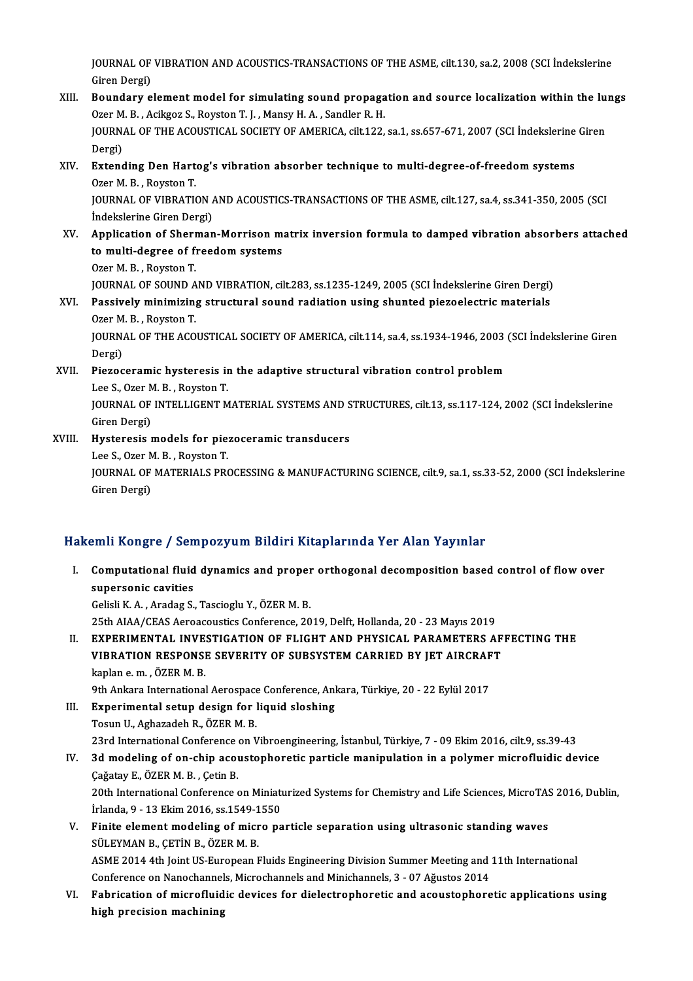JOURNAL OF VIBRATION AND ACOUSTICS-TRANSACTIONS OF THE ASME, cilt.130, sa.2, 2008 (SCI İndekslerine<br>Ciron Dargi) JOURNAL OF<br>Giren Dergi)<br>Boundary o JOURNAL OF VIBRATION AND ACOUSTICS-TRANSACTIONS OF THE ASME, cilt.130, sa.2, 2008 (SCI indekslerine<br>Giren Dergi)<br>XIII. Boundary element model for simulating sound propagation and source localization within the lungs<br>Qran M

Giren Dergi)<br>Boundary element model for simulating sound propaga<br>Ozer M. B. , Acikgoz S., Royston T. J. , Mansy H. A. , Sandler R. H.<br>JOUPMAL OF THE ACOUSTICAL SOCIETY OF AMERICA. 611:122. Boundary element model for simulating sound propagation and source localization within the lungs<br>Ozer M. B., Acikgoz S., Royston T. J., Mansy H. A., Sandler R. H.<br>JOURNAL OF THE ACOUSTICAL SOCIETY OF AMERICA, cilt.122, sa. Ozer M<br>JOURN<br>Dergi)<br>Extere JOURNAL OF THE ACOUSTICAL SOCIETY OF AMERICA, cilt122, sa.1, ss.657-671, 2007 (SCI İndekslerine<br>Dergi)<br>XIV. Extending Den Hartog's vibration absorber technique to multi-degree-of-freedom systems<br>Ozor M. B. Boyston T.

# Dergi)<br><mark>Extending Den Hart</mark><br>Ozer M. B. , Royston T.<br>JOUPNAL OF VIPPATI Extending Den Hartog's vibration absorber technique to multi-degree-of-freedom systems<br>Ozer M. B. , Royston T.<br>JOURNAL OF VIBRATION AND ACOUSTICS-TRANSACTIONS OF THE ASME, cilt.127, sa.4, ss.341-350, 2005 (SCI

Ozer M. B. , Royston T.<br>JOURNAL OF VIBRATION A<br>İndekslerine Giren Dergi) JOURNAL OF VIBRATION AND ACOUSTICS-TRANSACTIONS OF THE ASME, cilt.127, sa.4, ss.341-350, 2005 (SCI<br>Indekslerine Giren Dergi)<br>XV. Application of Sherman-Morrison matrix inversion formula to damped vibration absorbers attach

## Indekslerine Giren Dergi)<br>Application of Sherman-Morrison m<br>to multi-degree of freedom systems<br>Ozer M. B., Boyston T **Application of Sherico**<br>**to multi-degree of fi**<br>Ozer M. B. , Royston T.<br>JOUPMAL OF SOUND A to multi-degree of freedom systems<br>Ozer M. B. , Royston T.<br>JOURNAL OF SOUND AND VIBRATION, cilt.283, ss.1235-1249, 2005 (SCI İndekslerine Giren Dergi)<br>Pessively minimising etnustural sound redistion using shunted pisgoeles

### Ozer M. B., Royston T.<br>JOURNAL OF SOUND AND VIBRATION, cilt.283, ss.1235-1249, 2005 (SCI İndekslerine Giren Dergi)<br>XVI. Passively minimizing structural sound radiation using shunted piezoelectric materials<br>Ozer M. B., Boys **JOURNAL OF SOUND A<br>Passively minimizin<br>Ozer M. B. , Royston T.<br>JOUPNAL OF THE ACO** XVI. Passively minimizing structural sound radiation using shunted piezoelectric materials<br>Ozer M. B., Royston T.<br>JOURNAL OF THE ACOUSTICAL SOCIETY OF AMERICA, cilt.114, sa.4, ss.1934-1946, 2003 (SCI İndekslerine Giren<br>Der Ozer M. B., Royston T.

JOURNAL OF THE ACOUSTICAL SOCIETY OF AMERICA, cilt.114, sa.4, ss.1934-1946, 2003<br>Dergi)<br>XVII. Piezoceramic hysteresis in the adaptive structural vibration control problem

### Dergi)<br>Piezoceramic hysteresis in<br>Lee S., Ozer M. B. , Royston T.<br>JOUPNAL OF INTELLICENT M JOURNAL OF INTELLIGENT MATERIAL SYSTEMS AND STRUCTURES, cilt.13, ss.117-124, 2002 (SCI İndekslerine<br>Giren Dergi) Lee S., Ozer M. B., Royston T.

### JOURNAL OF INTELLIGENT MATERIAL SYSTEMS AND S<br>Giren Dergi)<br>XVIII. Hysteresis models for piezoceramic transducers Giren Dergi)<br>Hysteresis models for pie:<br>Lee S., Ozer M. B. , Royston T.<br>JOUPNAL OF MATERIALS PR JOURNAL OF MATERIALS PROCESSING & MANUFACTURING SCIENCE, cilt.9, sa.1, ss.33-52, 2000 (SCI İndekslerine<br>Giren Dergi) Lee S., Ozer M. B., Royston T.

### Hakemli Kongre / Sempozyum Bildiri Kitaplarında Yer Alan Yayınlar

- akemli Kongre / Sempozyum Bildiri Kitaplarında Yer Alan Yayınlar<br>I. Computational fluid dynamics and proper orthogonal decomposition based control of flow over<br>Supersonia covition sum resugre 7 ben<br>Computational fluid<br>supersonic cavities Computational fluid dynamics and proper<br>supersonic cavities<br>Gelisli K.A., Aradag S., Tascioglu Y., ÖZER M. B.<br>25th AIAA/CEAS Aspeaseustiss Conference 20 supersonic cavities<br>Gelisli K. A. , Aradag S., Tascioglu Y., ÖZER M. B.<br>25th AIAA/CEAS Aeroacoustics Conference, 2019, Delft, Hollanda, 20 - 23 Mayıs 2019
- II. EXPERIMENTAL INVESTIGATION OF FLIGHT AND PHYSICAL PARAMETERS AFFECTING THE 25th AIAA/CEAS Aeroacoustics Conference, 2019, Delft, Hollanda, 20 - 23 Mayıs 2019<br>EXPERIMENTAL INVESTIGATION OF FLIGHT AND PHYSICAL PARAMETERS AF<br>VIBRATION RESPONSE SEVERITY OF SUBSYSTEM CARRIED BY JET AIRCRAFT<br>kaplan e.m EXPERIMENTAL INVE.<br>VIBRATION RESPONSI<br>kaplan e. m. , ÖZER M. B.<br>9th Ankara International VIBRATION RESPONSE SEVERITY OF SUBSYSTEM CARRIED BY JET AIRCRAF<br>kaplan e. m. , ÖZER M. B.<br>9th Ankara International Aerospace Conference, Ankara, Türkiye, 20 - 22 Eylül 2017<br>Experimental setun design for liquid slesbing

## kaplan e. m. , ÖZER M. B.<br>9th Ankara International Aerospace Conference, Anl<br>III. Experimental setup design for liquid sloshing<br>Tesup U. Asharadah B. ÖZER M. B. 9th Ankara International Aerospace<br>Experimental setup design for 1<br>Tosun U., Aghazadeh R., ÖZER M. B.<br>22rd International Conference on L Tosun U., Aghazadeh R., ÖZER M. B.<br>23rd International Conference on Vibroengineering, İstanbul, Türkiye, 7 - 09 Ekim 2016, cilt.9, ss.39-43 Tosun U., Aghazadeh R., ÖZER M. B.<br>23rd International Conference on Vibroengineering, İstanbul, Türkiye, 7 - 09 Ekim 2016, cilt.9, ss.39-43<br>IV. 3d modeling of on-chip acoustophoretic particle manipulation in a polymer micr

23rd International Conference<br>3d modeling of on-chip acoustic Cagatay E., ÖZER M. B., Cetin B. 3d modeling of on-chip acoustophoretic particle manipulation in a polymer microfluidic device<br>Çağatay E., ÖZER M. B. , Çetin B.<br>20th International Conference on Miniaturized Systems for Chemistry and Life Sciences, MicroTA Çağatay E., ÖZER M. B. , Çetin B.<br>20th International Conference on Miniatı<br>İrlanda, 9 - 13 Ekim 2016, ss.1549-1550<br>Finite element modeling of misse ne 20th International Conference on Miniaturized Systems for Chemistry and Life Sciences, MicroTAS<br>
Irlanda, 9 - 13 Ekim 2016, ss.1549-1550<br>
V. Finite element modeling of micro particle separation using ultrasonic standing wa

## İrlanda, 9 - 13 Ekim 2016, ss.1549-1550<br>V. Finite element modeling of micro particle separation using ultrasonic standing waves<br>SÜLEYMAN B., CETİN B., ÖZER M. B. ASME 2014 4th Joint US-European Fluids Engineering Division Summer Meeting and 11th International SÜLEYMAN B., ÇETİN B., ÖZER M. B.<br>ASME 2014 4th Joint US-European Fluids Engineering Division Summer Meeting and<br>Conference on Nanochannels, Microchannels and Minichannels, 3 - 07 Ağustos 2014<br>Eshnisation of misrofluidis d

VI. Fabrication of microfluidic devices for dielectrophoretic and acoustophoretic applications using<br>high precision machining Conference on Nanochannel<br>Fabrication of microfluid<br>high precision machining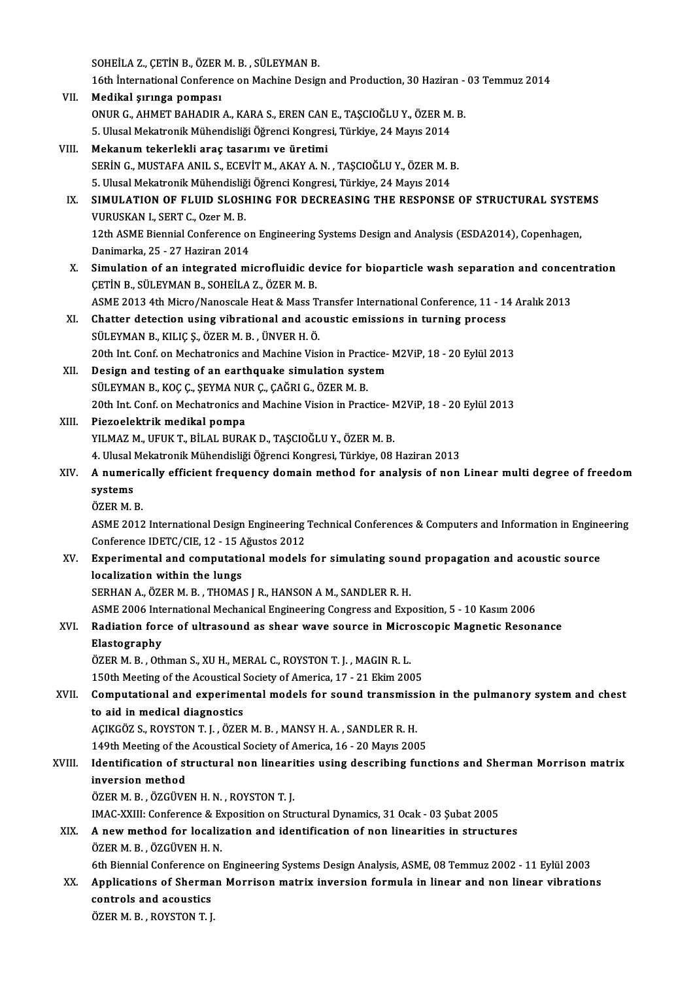SOHEİLAZ., ÇETİN B., ÖZERM.B., SÜLEYMANB.

16th International Conference on Machine Design and Production, 30 Haziran - 03 Temmuz 2014

- VII. Medikal şırınga pompası 16th İnternational Conference on Machine Design and Production, 30 Haziran -<br>Medikal şırınga pompası<br>ONUR G., AHMET BAHADIR A., KARA S., EREN CAN E., TAŞCIOĞLU Y., ÖZER M. B.<br>E. Ulusel Mekatronik Mühandisliği Öğrensi Kongr Medikal şırınga pompası<br>ONUR G., AHMET BAHADIR A., KARA S., EREN CAN E., TAŞCIOĞLU Y., ÖZER M.<br>5. Ulusal Mekatronik Mühendisliği Öğrenci Kongresi, Türkiye, 24 Mayıs 2014<br>Mekanum tekarlekli aras taşarımı ve üretimi 5. Ulusal Mekatronik Mühendisliği Öğrenci Kongresi, Türkiye, 24 Mayıs 2014<br>VIII. Mekanum tekerlekli araç tasarımı ve üretimi
- 5. Ulusal Mekatronik Mühendisliği Öğrenci Kongresi, Türkiye, 24 Mayıs 2014<br>Mekanum tekerlekli araç tasarımı ve üretimi<br>SERİN G., MUSTAFA ANIL S., ECEVİT M., AKAY A. N. , TAŞCIOĞLU Y., ÖZER M. B.<br>5. Ulusal Makatronik Mühand Mekanum tekerlekli araç tasarımı ve üretimi<br>SERİN G., MUSTAFA ANIL S., ECEVİT M., AKAY A. N. , TAŞCIOĞLU Y., ÖZER M. F<br>5. Ulusal Mekatronik Mühendisliği Öğrenci Kongresi, Türkiye, 24 Mayıs 2014<br>SIMIIL ATION OF ELUID SLOSUI SERİN G., MUSTAFA ANIL S., ECEVİT M., AKAY A. N. , TAŞCIOĞLU Y., ÖZER M. B.<br>5. Ulusal Mekatronik Mühendisliği Öğrenci Kongresi, Türkiye, 24 Mayıs 2014<br>IX. SIMULATION OF FLUID SLOSHING FOR DECREASING THE RESPONSE OF STRUCTU
- 5. Ulusal Mekatronik Mühendisliğ<br>SIMULATION OF FLUID SLOSI<br>VURUSKAN I., SERT C., Ozer M. B.<br>12th ASME Bionnial Conference c SIMULATION OF FLUID SLOSHING FOR DECREASING THE RESPONSE OF STRUCTURAL SYSTE<br>VURUSKAN I., SERT C., Ozer M. B.<br>12th ASME Biennial Conference on Engineering Systems Design and Analysis (ESDA2014), Copenhagen,<br>Danimarka 25, 2 VURUSKAN I., SERT C., Ozer M. B.<br>12th ASME Biennial Conference of<br>Danimarka, 25 - 27 Haziran 2014<br>Simulation of an integrated mi 12th ASME Biennial Conference on Engineering Systems Design and Analysis (ESDA2014), Copenhagen,<br>Danimarka, 25 - 27 Haziran 2014<br>X. Simulation of an integrated microfluidic device for bioparticle wash separation and concen
- Danimarka, 25 27 Haziran 2014<br>Simulation of an integrated microfluidic de<br>ÇETİN B., SÜLEYMAN B., SOHEİLA Z., ÖZER M. B. Simulation of an integrated microfluidic device for bioparticle wash separation and concer<br>CETİN B., SÜLEYMAN B., SOHEİLA Z., ÖZER M. B.<br>ASME 2013 4th Micro/Nanoscale Heat & Mass Transfer International Conference, 11 - 14 ASME 2013 4th Micro/Nanoscale Heat & Mass Transfer International Conference, 11 - 14 Aralık 2013
- XI. Chatter detection using vibrational and acoustic emissions in turning process 20th Int. Conf. on Mechatronics and Machine Vision in Practice-M2ViP, 18 - 20 Eylül 2013 SÜLEYMAN B., KILIÇ Ş., ÖZER M. B., ÜNVER H. Ö.<br>20th Int. Conf. on Mechatronics and Machine Vision in Practice-<br>XII. Design and testing of an earthquake simulation system<br>5 SULEYMAN B. KOGG SEYMA NUR G. GAĞPLG ÖZER M. B
- 20th Int. Conf. on Mechatronics and Machine Vision in Prac<br>Design and testing of an earthquake simulation syst<br>SÜLEYMAN B., KOÇ Ç., ŞEYMA NUR Ç., ÇAĞRI G., ÖZER M. B.<br>20th Int. Conf. on Mechatronics and Machine Vision in P 20th Int. Conf. on Mechatronics and Machine Vision in Practice-M2ViP, 18 - 20 Eylül 2013<br>Piezoelektrik medikal pompa SÜLEYMAN B., KOÇ Ç., ŞEYMA NUR Ç., ÇAĞRI G., ÖZER M. B.<br>20th Int. Conf. on Mechatronics and Machine Vision in Prac<br>XIII. Piezoelektrik medikal pompa
- YILMAZ M., UFUK T., BİLAL BURAK D., TAŞCIOĞLU Y., ÖZER M. B. Piezoelektrik medikal pompa<br>YILMAZ M., UFUK T., BİLAL BURAK D., TAŞCIOĞLU Y., ÖZER M. B.<br>4. Ulusal Mekatronik Mühendisliği Öğrenci Kongresi, Türkiye, 08 Haziran 2013<br>A. numarisally efficient fraquency damain method for ana YILMAZ M., UFUK T., BİLAL BURAK D., TAŞCIOĞLU Y., ÖZER M. B.<br>4. Ulusal Mekatronik Mühendisliği Öğrenci Kongresi, Türkiye, 08 Haziran 2013<br>XIV. A numerically efficient frequency domain method for analysis of non Linear
- 4. Ulusal <mark>1</mark><br>A numer<br>systems<br>özep M 1 A numeric<br>systems<br>ÖZER M. B.<br>ASME 2012 systems<br>ÖZER M. B.<br>ASME 2012 International Design Engineering Technical Conferences & Computers and Information in Engineering
	-

ÖZER M. B.<br>ASME 2012 International Design Engineering<br>Conference IDETC/CIE, 12 - 15 Ağustos 2012<br>Eunorimental and computational models

XV. Experimental and computational models for simulating sound propagation and acoustic source<br>localization within the lungs Conference IDETC/CIE, 12 - 15 A<br>Experimental and computation<br>localization within the lungs localization within the lungs<br>SERHAN A., ÖZER M. B. , THOMAS J R., HANSON A M., SANDLER R. H.<br>ASME 2006 International Mechanical Engineering Congress and Exposition, 5 - 10 Kasım 2006<br>Podiation forse of ultrasound as shoor

SERHAN A., ÖZER M. B., THOMAS JR., HANSON AM., SANDLERR.H.

### SERHAN A., ÖZER M. B. , THOMAS J R., HANSON A M., SANDLER R. H.<br>ASME 2006 International Mechanical Engineering Congress and Exposition, 5 - 10 Kasım 2006<br>XVI. Radiation force of ultrasound as shear wave source in Microscop ASME 2006 Inte<br>Radiation fore<br>Elastography<br>ÖZER M. B. Oth Radiation force of ultrasound as shear wave source in Micro<br>Elastography<br>ÖZER M. B. , Othman S., XU H., MERAL C., ROYSTON T. J. , MAGIN R. L.<br>150th Meeting of the Aseustical Seciety of America 17, 21 Ekim 200 Elastography<br>ÖZER M. B. , Othman S., XU H., MERAL C., ROYSTON T. J. , MAGIN R. L.<br>150th Meeting of the Acoustical Society of America, 17 - 21 Ekim 2005

## ÖZER M. B. , Othman S., XU H., MERAL C., ROYSTON T. J. , MAGIN R. L.<br>150th Meeting of the Acoustical Society of America, 17 - 21 Ekim 2005<br>XVII. Computational and experimental models for sound transmission in the pulmanory 150th Meeting of the Acoustical 9<br>**Computational and experime**<br>to aid in medical diagnostics<br>ACIVCÖZ S. POVSTON T.L. ÖZER Computational and experimental models for sound transmiss<br>to aid in medical diagnostics<br>AÇIKGÖZ S., ROYSTON T. J. , ÖZER M. B. , MANSY H. A. , SANDLER R. H.<br>149th Meeting of the Asoustical Society of America 16 – 20 Mayrs

to aid in medical diagnostics<br>AÇIKGÖZ S., ROYSTON T. J. , ÖZER M. B. , MANSY H. A. , SANDLER R. H.<br>149th Meeting of the Acoustical Society of America, 16 - 20 Mayıs 2005<br>Identification of structural non linearities using d

## AÇIKGÖZ S., ROYSTON T. J. , ÖZER M. B. , MANSY H. A. , SANDLER R. H.<br>149th Meeting of the Acoustical Society of America, 16 - 20 Mayıs 2005<br>XVIII. Identification of structural non linearities using describing functions and 149th Meeting of the<br>Identification of st<br>inversion method<br>ÖZEP M P – ÖZCÜVE

ÖZER M. B., ÖZGÜVEN H. N., ROYSTON T. J.

IMAC-XXIII: Conference & Exposition on Structural Dynamics, 31 Ocak - 03 Şubat 2005

### XIX. A newmethod for localization and identification of non linearities in structures ÖZERM.B. ,ÖZGÜVENH.N. For the Mexican of non-linearities in structures<br>For M. B. , ÖZGÜVEN H. N.<br>6th Biennial Conference on Engineering Systems Design Analysis, ASME, 08 Temmuz 2002 - 11 Eylül 2003<br>Analisations of Shampan Manrison matrix invers

### ÖZER M. B. , ÖZGÜVEN H. N.<br>6th Biennial Conference on Engineering Systems Design Analysis, ASME, 08 Temmuz 2002 - 11 Eylül 2003<br>XX. Applications of Sherman Morrison matrix inversion formula in linear and non linear vib 6th Biennial Conference of<br>Applications of Sherma<br>controls and acoustics<br>ÖZEP M B - BOVSTON T L XX. Applications of Sherman Morrison matrix inversion formula in linear and non linear vibrations controls and acoustics<br>ÖZERM.B., ROYSTON T.J.